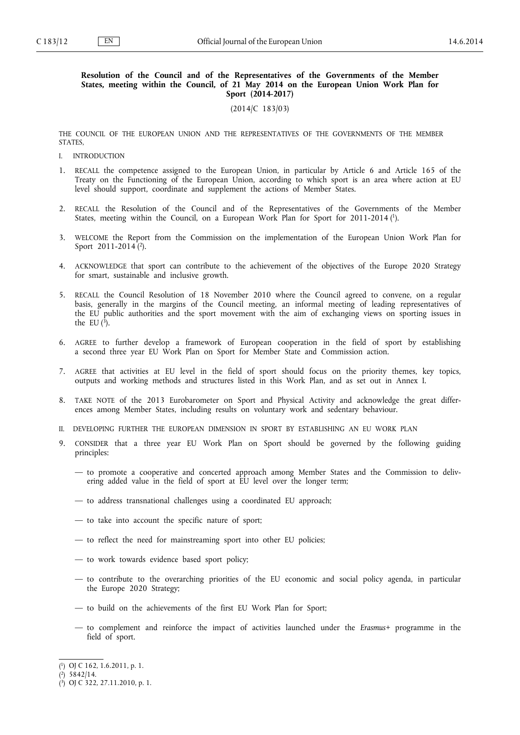### **Resolution of the Council and of the Representatives of the Governments of the Member States, meeting within the Council, of 21 May 2014 on the European Union Work Plan for Sport (2014-2017)**

(2014/C 183/03)

THE COUNCIL OF THE EUROPEAN UNION AND THE REPRESENTATIVES OF THE GOVERNMENTS OF THE MEMBER STATES,

- I. INTRODUCTION
- 1. RECALL the competence assigned to the European Union, in particular by Article 6 and Article 165 of the Treaty on the Functioning of the European Union, according to which sport is an area where action at EU level should support, coordinate and supplement the actions of Member States.
- 2. RECALL the Resolution of the Council and of the Representatives of the Governments of the Member States, meeting within the Council, on a European Work Plan for Sport for 2011-2014 (<sup>1</sup>).
- 3. WELCOME the Report from the Commission on the implementation of the European Union Work Plan for Sport 2011-2014<sup>(2)</sup>.
- 4. ACKNOWLEDGE that sport can contribute to the achievement of the objectives of the Europe 2020 Strategy for smart, sustainable and inclusive growth.
- 5. RECALL the Council Resolution of 18 November 2010 where the Council agreed to convene, on a regular basis, generally in the margins of the Council meeting, an informal meeting of leading representatives of the EU public authorities and the sport movement with the aim of exchanging views on sporting issues in the EU  $(3)$ .
- 6. AGREE to further develop a framework of European cooperation in the field of sport by establishing a second three year EU Work Plan on Sport for Member State and Commission action.
- 7. AGREE that activities at EU level in the field of sport should focus on the priority themes, key topics, outputs and working methods and structures listed in this Work Plan, and as set out in Annex I.
- 8. TAKE NOTE of the 2013 Eurobarometer on Sport and Physical Activity and acknowledge the great differ ences among Member States, including results on voluntary work and sedentary behaviour.
- II. DEVELOPING FURTHER THE EUROPEAN DIMENSION IN SPORT BY ESTABLISHING AN EU WORK PLAN
- 9. CONSIDER that a three year EU Work Plan on Sport should be governed by the following guiding principles:
	- to promote a cooperative and concerted approach among Member States and the Commission to deliv ering added value in the field of sport at EU level over the longer term;
	- to address transnational challenges using a coordinated EU approach;
	- to take into account the specific nature of sport;
	- to reflect the need for mainstreaming sport into other EU policies;
	- to work towards evidence based sport policy;
	- to contribute to the overarching priorities of the EU economic and social policy agenda, in particular the Europe 2020 Strategy;
	- to build on the achievements of the first EU Work Plan for Sport;
	- to complement and reinforce the impact of activities launched under the *Erasmus+* programme in the field of sport.

<sup>(</sup> 1 ) OJ C 162, 1.6.2011, p. 1.

<sup>(</sup> 2 ) 5842/14.

<sup>(</sup> 3 ) OJ C 322, 27.11.2010, p. 1.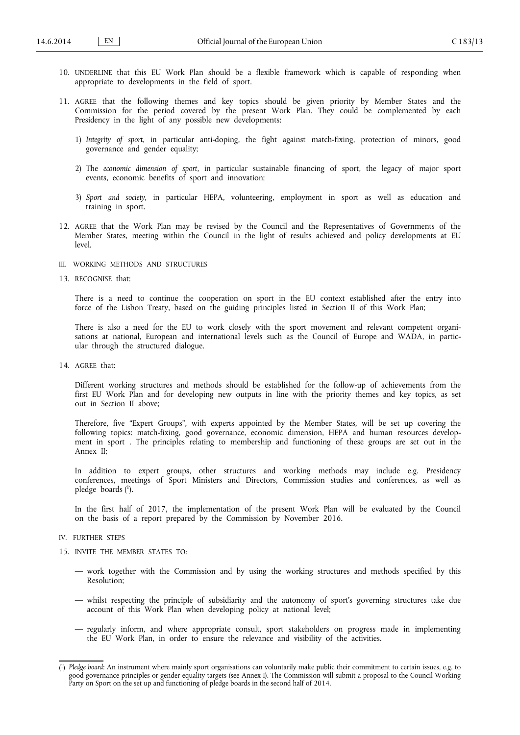- 10. UNDERLINE that this EU Work Plan should be a flexible framework which is capable of responding when appropriate to developments in the field of sport.
- 11. AGREE that the following themes and key topics should be given priority by Member States and the Commission for the period covered by the present Work Plan. They could be complemented by each Presidency in the light of any possible new developments:
	- 1) *Integrity of sport*, in particular anti-doping, the fight against match-fixing, protection of minors, good governance and gender equality;
	- 2) The *economic dimension of sport*, in particular sustainable financing of sport, the legacy of major sport events, economic benefits of sport and innovation;
	- 3) *Sport and society,* in particular HEPA, volunteering, employment in sport as well as education and training in sport.
- 12. AGREE that the Work Plan may be revised by the Council and the Representatives of Governments of the Member States, meeting within the Council in the light of results achieved and policy developments at EU level.
- III. WORKING METHODS AND STRUCTURES
- 13. RECOGNISE that:

There is a need to continue the cooperation on sport in the EU context established after the entry into force of the Lisbon Treaty, based on the guiding principles listed in Section II of this Work Plan;

There is also a need for the EU to work closely with the sport movement and relevant competent organi sations at national, European and international levels such as the Council of Europe and WADA, in particular through the structured dialogue.

14. AGREE that:

Different working structures and methods should be established for the follow-up of achievements from the first EU Work Plan and for developing new outputs in line with the priority themes and key topics, as set out in Section II above;

Therefore, five "Expert Groups", with experts appointed by the Member States, will be set up covering the following topics: match-fixing, good governance, economic dimension, HEPA and human resources development in sport . The principles relating to membership and functioning of these groups are set out in the Annex II;

In addition to expert groups, other structures and working methods may include e.g. Presidency conferences, meetings of Sport Ministers and Directors, Commission studies and conferences, as well as pledge boards ( 1 ).

In the first half of 2017, the implementation of the present Work Plan will be evaluated by the Council on the basis of a report prepared by the Commission by November 2016.

- IV. FURTHER STEPS
- 15. INVITE THE MEMBER STATES TO:
	- work together with the Commission and by using the working structures and methods specified by this Resolution;
	- whilst respecting the principle of subsidiarity and the autonomy of sport's governing structures take due account of this Work Plan when developing policy at national level;
	- regularly inform, and where appropriate consult, sport stakeholders on progress made in implementing the EU Work Plan, in order to ensure the relevance and visibility of the activities.

<sup>(</sup> 1 ) *Pledge board*: An instrument where mainly sport organisations can voluntarily make public their commitment to certain issues, e.g. to good governance principles or gender equality targets (see Annex I). The Commission will submit a proposal to the Council Working Party on Sport on the set up and functioning of pledge boards in the second half of 2014.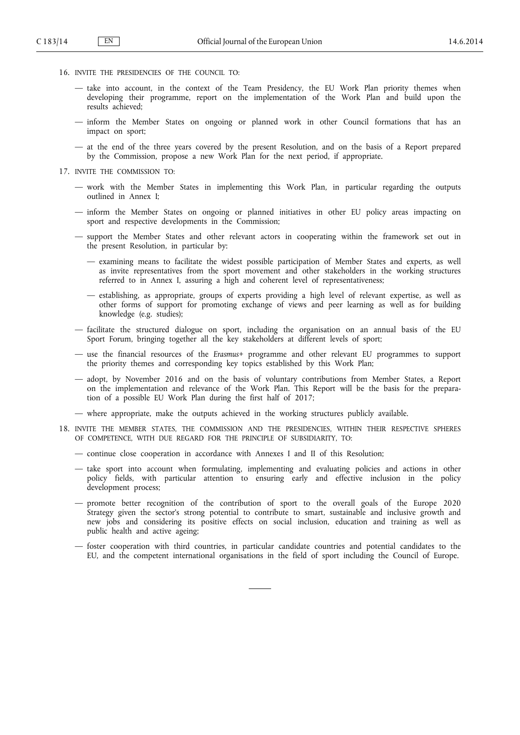- 16. INVITE THE PRESIDENCIES OF THE COUNCIL TO:
	- take into account, in the context of the Team Presidency, the EU Work Plan priority themes when developing their programme, report on the implementation of the Work Plan and build upon the results achieved;
	- inform the Member States on ongoing or planned work in other Council formations that has an impact on sport;
	- at the end of the three years covered by the present Resolution, and on the basis of a Report prepared by the Commission, propose a new Work Plan for the next period, if appropriate.
- 17. INVITE THE COMMISSION TO:
	- work with the Member States in implementing this Work Plan, in particular regarding the outputs outlined in Annex I;
	- inform the Member States on ongoing or planned initiatives in other EU policy areas impacting on sport and respective developments in the Commission;
	- support the Member States and other relevant actors in cooperating within the framework set out in the present Resolution, in particular by:
		- examining means to facilitate the widest possible participation of Member States and experts, as well as invite representatives from the sport movement and other stakeholders in the working structures referred to in Annex I, assuring a high and coherent level of representativeness;
		- establishing, as appropriate, groups of experts providing a high level of relevant expertise, as well as other forms of support for promoting exchange of views and peer learning as well as for building knowledge (e.g. studies);
	- facilitate the structured dialogue on sport, including the organisation on an annual basis of the EU Sport Forum, bringing together all the key stakeholders at different levels of sport;
	- use the financial resources of the *Erasmus+* programme and other relevant EU programmes to support the priority themes and corresponding key topics established by this Work Plan;
	- adopt, by November 2016 and on the basis of voluntary contributions from Member States, a Report on the implementation and relevance of the Work Plan. This Report will be the basis for the prepara tion of a possible EU Work Plan during the first half of 2017;
	- where appropriate, make the outputs achieved in the working structures publicly available.
- 18. INVITE THE MEMBER STATES, THE COMMISSION AND THE PRESIDENCIES, WITHIN THEIR RESPECTIVE SPHERES OF COMPETENCE, WITH DUE REGARD FOR THE PRINCIPLE OF SUBSIDIARITY, TO:
	- continue close cooperation in accordance with Annexes I and II of this Resolution;
	- take sport into account when formulating, implementing and evaluating policies and actions in other policy fields, with particular attention to ensuring early and effective inclusion in the policy development process;
	- promote better recognition of the contribution of sport to the overall goals of the Europe 2020 Strategy given the sector's strong potential to contribute to smart, sustainable and inclusive growth and new jobs and considering its positive effects on social inclusion, education and training as well as public health and active ageing;
	- foster cooperation with third countries, in particular candidate countries and potential candidates to the EU, and the competent international organisations in the field of sport including the Council of Europe.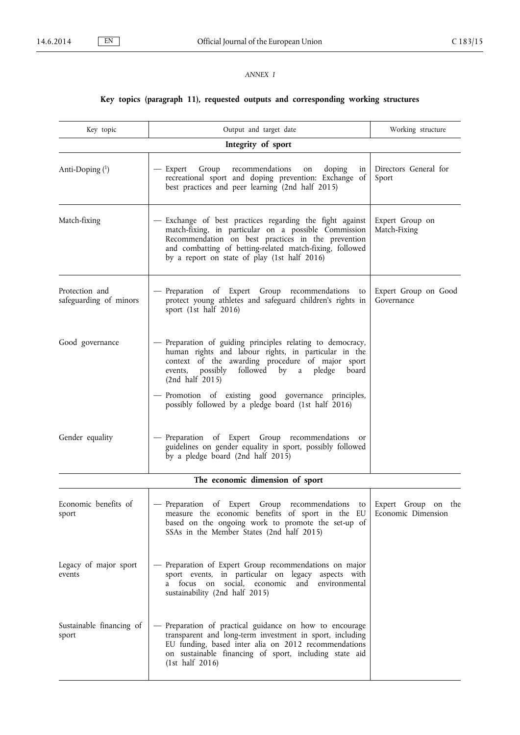## *ANNEX I*

# **Key topics (paragraph 11), requested outputs and corresponding working structures**

| Key topic                                | Output and target date                                                                                                                                                                                                                                                                          | Working structure                         |  |
|------------------------------------------|-------------------------------------------------------------------------------------------------------------------------------------------------------------------------------------------------------------------------------------------------------------------------------------------------|-------------------------------------------|--|
| Integrity of sport                       |                                                                                                                                                                                                                                                                                                 |                                           |  |
| Anti-Doping $(1)$                        | - Expert Group recommendations<br>doping<br>on<br>in<br>recreational sport and doping prevention: Exchange of<br>best practices and peer learning (2nd half 2015)                                                                                                                               | Directors General for<br>Sport            |  |
| Match-fixing                             | - Exchange of best practices regarding the fight against<br>match-fixing, in particular on a possible Commission<br>Recommendation on best practices in the prevention<br>and combatting of betting-related match-fixing, followed<br>by a report on state of play (1st half 2016)              | Expert Group on<br>Match-Fixing           |  |
| Protection and<br>safeguarding of minors | - Preparation of Expert Group recommendations to<br>protect young athletes and safeguard children's rights in<br>sport (1st half 2016)                                                                                                                                                          | Expert Group on Good<br>Governance        |  |
| Good governance                          | - Preparation of guiding principles relating to democracy,<br>human rights and labour rights, in particular in the<br>context of the awarding procedure of major sport<br>events, possibly followed by a pledge board<br>(2nd half 2015)<br>- Promotion of existing good governance principles, |                                           |  |
|                                          | possibly followed by a pledge board (1st half 2016)                                                                                                                                                                                                                                             |                                           |  |
| Gender equality                          | - Preparation of Expert Group recommendations or<br>guidelines on gender equality in sport, possibly followed<br>by a pledge board (2nd half 2015)                                                                                                                                              |                                           |  |
| The economic dimension of sport          |                                                                                                                                                                                                                                                                                                 |                                           |  |
| Economic benefits of<br>sport            | - Preparation of Expert Group recommendations to<br>measure the economic benefits of sport in the EU<br>based on the ongoing work to promote the set-up of<br>SSAs in the Member States (2nd half 2015)                                                                                         | Expert Group on the<br>Economic Dimension |  |
| Legacy of major sport<br>events          | - Preparation of Expert Group recommendations on major<br>sport events, in particular on legacy aspects with<br>a focus on<br>social, economic<br>and<br>environmental<br>sustainability (2nd half 2015)                                                                                        |                                           |  |
| Sustainable financing of<br>sport        | Preparation of practical guidance on how to encourage<br>transparent and long-term investment in sport, including<br>EU funding, based inter alia on 2012 recommendations<br>on sustainable financing of sport, including state aid<br>(1st half 2016)                                          |                                           |  |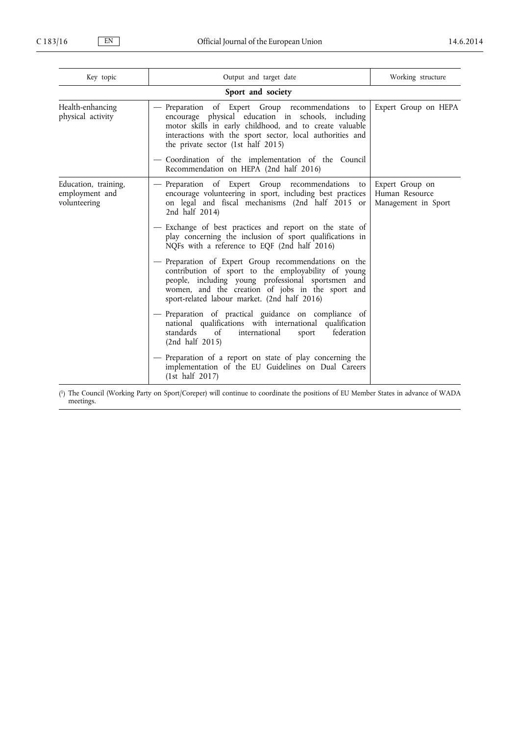| Key topic                                              | Output and target date                                                                                                                                                                                                                                                | Working structure                                        |  |
|--------------------------------------------------------|-----------------------------------------------------------------------------------------------------------------------------------------------------------------------------------------------------------------------------------------------------------------------|----------------------------------------------------------|--|
| Sport and society                                      |                                                                                                                                                                                                                                                                       |                                                          |  |
| Health-enhancing<br>physical activity                  | Preparation of Expert Group recommendations to<br>encourage physical education in schools, including<br>motor skills in early childhood, and to create valuable<br>interactions with the sport sector, local authorities and<br>the private sector (1st half 2015)    | Expert Group on HEPA                                     |  |
|                                                        | - Coordination of the implementation of the Council<br>Recommendation on HEPA (2nd half 2016)                                                                                                                                                                         |                                                          |  |
| Education, training,<br>employment and<br>volunteering | Preparation of Expert Group recommendations<br>to<br>encourage volunteering in sport, including best practices<br>on legal and fiscal mechanisms (2nd half 2015 or<br>2nd half 2014)                                                                                  | Expert Group on<br>Human Resource<br>Management in Sport |  |
|                                                        | - Exchange of best practices and report on the state of<br>play concerning the inclusion of sport qualifications in<br>NQFs with a reference to EQF (2nd half 2016)                                                                                                   |                                                          |  |
|                                                        | - Preparation of Expert Group recommendations on the<br>contribution of sport to the employability of young<br>people, including young professional sportsmen and<br>women, and the creation of jobs in the sport and<br>sport-related labour market. (2nd half 2016) |                                                          |  |
|                                                        | - Preparation of practical guidance on compliance of<br>national qualifications with international qualification<br>standards<br>federation<br>of<br>international<br>sport<br>(2nd half 2015)                                                                        |                                                          |  |
|                                                        | - Preparation of a report on state of play concerning the<br>implementation of the EU Guidelines on Dual Careers<br>(1st half 2017)                                                                                                                                   |                                                          |  |

( 1 ) The Council (Working Party on Sport/Coreper) will continue to coordinate the positions of EU Member States in advance of WADA meetings.